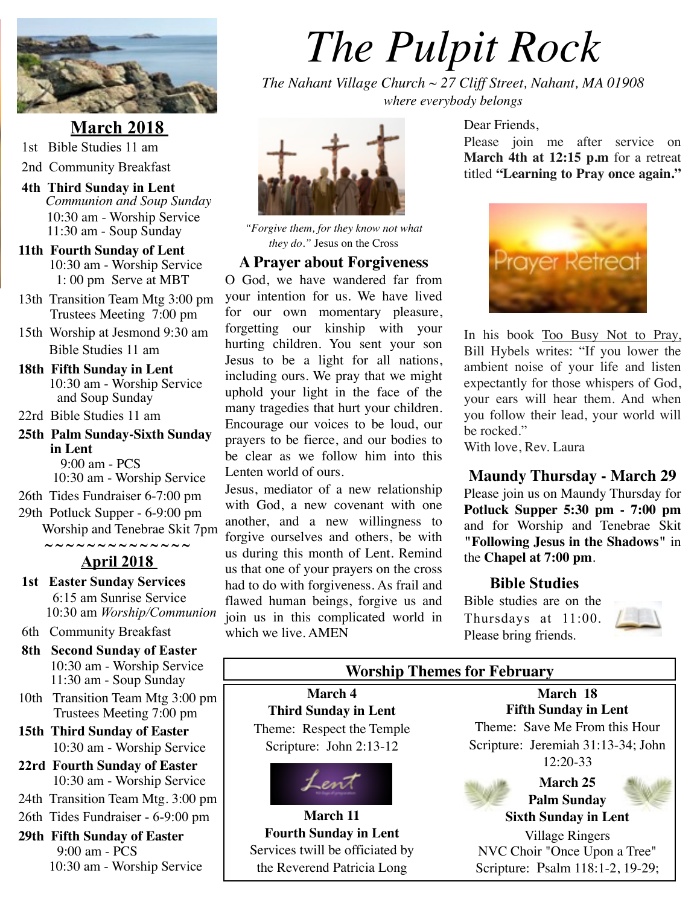

**March 2018** 1st Bible Studies 11 am

- 2nd Community Breakfast
- **4th Third Sunday in Lent** *Communion and Soup Sunday* 10:30 am - Worship Service 11:30 am - Soup Sunday
- **11th Fourth Sunday of Lent** 10:30 am - Worship Service 1: 00 pm Serve at MBT
- 13th Transition Team Mtg 3:00 pm Trustees Meeting 7:00 pm
- 15th Worship at Jesmond 9:30 am Bible Studies 11 am
- **18th Fifth Sunday in Lent** 10:30 am - Worship Service and Soup Sunday
- 22rd Bible Studies 11 am
- **25th Palm Sunday-Sixth Sunday in Lent** 9:00 am - PCS

10:30 am - Worship Service

- 26th Tides Fundraiser 6-7:00 pm
- 29th Potluck Supper 6-9:00 pm Worship and Tenebrae Skit 7pm **~ ~ ~ ~ ~ ~ ~ ~ ~ ~ ~ ~ ~ ~**

# **April 2018**

- **1st Easter Sunday Services** 6:15 am Sunrise Service 10:30 am *Worship/Communion*
- 6th Community Breakfast
- **8th Second Sunday of Easter**  10:30 am - Worship Service 11:30 am - Soup Sunday
- 10th Transition Team Mtg 3:00 pm Trustees Meeting 7:00 pm
- **15th Third Sunday of Easter** 10:30 am - Worship Service
- **22rd Fourth Sunday of Easter** 10:30 am - Worship Service
- 24th Transition Team Mtg. 3:00 pm
- 26th Tides Fundraiser 6-9:00 pm

#### **29th Fifth Sunday of Easter** 9:00 am - PCS 10:30 am - Worship Service

# *The Pulpit Rock*

*The Nahant Village Church ~ 27 Cliff Street, Nahant, MA 01908 where everybody belongs*



*"Forgive them, for they know not what they do."* Jesus on the Cross

#### **A Prayer about Forgiveness**

O God, we have wandered far from your intention for us. We have lived for our own momentary pleasure, forgetting our kinship with your hurting children. You sent your son Jesus to be a light for all nations, including ours. We pray that we might uphold your light in the face of the many tragedies that hurt your children. Encourage our voices to be loud, our prayers to be fierce, and our bodies to be clear as we follow him into this Lenten world of ours.

Jesus, mediator of a new relationship with God, a new covenant with one another, and a new willingness to forgive ourselves and others, be with us during this month of Lent. Remind us that one of your prayers on the cross had to do with forgiveness. As frail and flawed human beings, forgive us and join us in this complicated world in which we live. AMEN

#### Dear Friends,

Please join me after service on **March 4th at 12:15 p.m** for a retreat titled **"Learning to Pray once again."**



In his book Too Busy Not to Pray, Bill Hybels writes: "If you lower the ambient noise of your life and listen expectantly for those whispers of God, your ears will hear them. And when you follow their lead, your world will be rocked."

With love, Rev. Laura

#### **Maundy Thursday - March 29**

Please join us on Maundy Thursday for **Potluck Supper 5:30 pm - 7:00 pm**  and for Worship and Tenebrae Skit **"Following Jesus in the Shadows"** in the **Chapel at 7:00 pm**.

#### **Bible Studies**

Bible studies are on the Thursdays at 11:00. Please bring friends.



# **Worship Themes for February**

**March 4 Third Sunday in Lent** Theme: Respect the Temple Scripture: John 2:13-12



**March 11 Fourth Sunday in Lent**  Services twill be officiated by the Reverend Patricia Long

**March 18 Fifth Sunday in Lent** Theme: Save Me From this Hour Scripture: Jeremiah 31:13-34; John 12:20-33

Scripture: Psalm 118:1-2, 19-29;

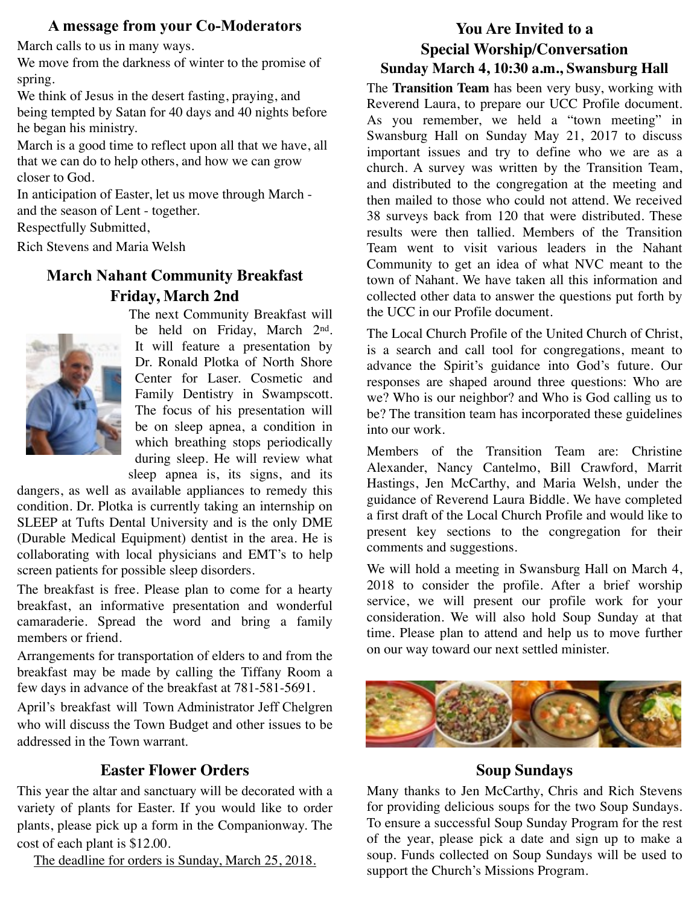#### **A message from your Co-Moderators**

March calls to us in many ways.

We move from the darkness of winter to the promise of spring.

We think of Jesus in the desert fasting, praying, and being tempted by Satan for 40 days and 40 nights before he began his ministry.

March is a good time to reflect upon all that we have, all that we can do to help others, and how we can grow closer to God.

In anticipation of Easter, let us move through March and the season of Lent - together.

Respectfully Submitted,

Rich Stevens and Maria Welsh

# **March Nahant Community Breakfast Friday, March 2nd**



The next Community Breakfast will be held on Friday, March 2nd. It will feature a presentation by Dr. Ronald Plotka of North Shore Center for Laser. Cosmetic and Family Dentistry in Swampscott. The focus of his presentation will be on sleep apnea, a condition in which breathing stops periodically during sleep. He will review what sleep apnea is, its signs, and its

dangers, as well as available appliances to remedy this condition. Dr. Plotka is currently taking an internship on SLEEP at Tufts Dental University and is the only DME (Durable Medical Equipment) dentist in the area. He is collaborating with local physicians and EMT's to help screen patients for possible sleep disorders.

The breakfast is free. Please plan to come for a hearty breakfast, an informative presentation and wonderful camaraderie. Spread the word and bring a family members or friend.

Arrangements for transportation of elders to and from the breakfast may be made by calling the Tiffany Room a few days in advance of the breakfast at 781-581-5691.

April's breakfast will Town Administrator Jeff Chelgren who will discuss the Town Budget and other issues to be addressed in the Town warrant.

#### **Easter Flower Orders**

This year the altar and sanctuary will be decorated with a variety of plants for Easter. If you would like to order plants, please pick up a form in the Companionway. The cost of each plant is \$12.00.

The deadline for orders is Sunday, March 25, 2018.

# **You Are Invited to a Special Worship/Conversation Sunday March 4, 10:30 a.m., Swansburg Hall**

The **Transition Team** has been very busy, working with Reverend Laura, to prepare our UCC Profile document. As you remember, we held a "town meeting" in Swansburg Hall on Sunday May 21, 2017 to discuss important issues and try to define who we are as a church. A survey was written by the Transition Team, and distributed to the congregation at the meeting and then mailed to those who could not attend. We received 38 surveys back from 120 that were distributed. These results were then tallied. Members of the Transition Team went to visit various leaders in the Nahant Community to get an idea of what NVC meant to the town of Nahant. We have taken all this information and collected other data to answer the questions put forth by the UCC in our Profile document.

The Local Church Profile of the United Church of Christ, is a search and call tool for congregations, meant to advance the Spirit's guidance into God's future. Our responses are shaped around three questions: Who are we? Who is our neighbor? and Who is God calling us to be? The transition team has incorporated these guidelines into our work.

Members of the Transition Team are: Christine Alexander, Nancy Cantelmo, Bill Crawford, Marrit Hastings, Jen McCarthy, and Maria Welsh, under the guidance of Reverend Laura Biddle. We have completed a first draft of the Local Church Profile and would like to present key sections to the congregation for their comments and suggestions.

We will hold a meeting in Swansburg Hall on March 4, 2018 to consider the profile. After a brief worship service, we will present our profile work for your consideration. We will also hold Soup Sunday at that time. Please plan to attend and help us to move further on our way toward our next settled minister.



# **Soup Sundays**

Many thanks to Jen McCarthy, Chris and Rich Stevens for providing delicious soups for the two Soup Sundays. To ensure a successful Soup Sunday Program for the rest of the year, please pick a date and sign up to make a soup. Funds collected on Soup Sundays will be used to support the Church's Missions Program.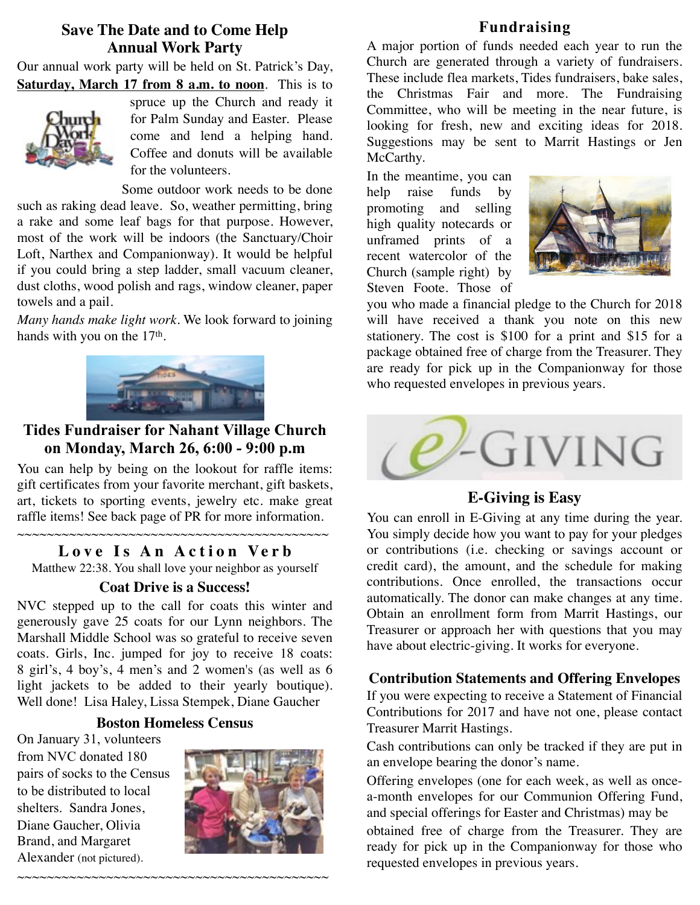#### **Save The Date and to Come Help Annual Work Party**

Our annual work party will be held on St. Patrick's Day, **Saturday, March 17 from 8 a.m. to noon**. This is to



spruce up the Church and ready it for Palm Sunday and Easter. Please come and lend a helping hand. Coffee and donuts will be available for the volunteers.

Some outdoor work needs to be done such as raking dead leave. So, weather permitting, bring a rake and some leaf bags for that purpose. However, most of the work will be indoors (the Sanctuary/Choir Loft, Narthex and Companionway). It would be helpful if you could bring a step ladder, small vacuum cleaner, dust cloths, wood polish and rags, window cleaner, paper towels and a pail.

*Many hands make light work.* We look forward to joining hands with you on the 17<sup>th</sup>.



### **Tides Fundraiser for Nahant Village Church on Monday, March 26, 6:00 - 9:00 p.m**

You can help by being on the lookout for raffle items: gift certificates from your favorite merchant, gift baskets, art, tickets to sporting events, jewelry etc. make great raffle items! See back page of PR for more information.

#### **Love Is An Action Verb**

Matthew 22:38. You shall love your neighbor as yourself

#### **Coat Drive is a Success!**

NVC stepped up to the call for coats this winter and generously gave 25 coats for our Lynn neighbors. The Marshall Middle School was so grateful to receive seven coats. Girls, Inc. jumped for joy to receive 18 coats: 8 girl's, 4 boy's, 4 men's and 2 women's (as well as 6 light jackets to be added to their yearly boutique). Well done! Lisa Haley, Lissa Stempek, Diane Gaucher

#### **Boston Homeless Census**

~~~~~~~~~~~~~~~~~~~~~~~~~~~~~~~~~~~~~~~~~~

On January 31, volunteers from NVC donated 180 pairs of socks to the Census to be distributed to local shelters. Sandra Jones, Diane Gaucher, Olivia Brand, and Margaret Alexander (not pictured).



### **Fundraising**

A major portion of funds needed each year to run the Church are generated through a variety of fundraisers. These include flea markets, Tides fundraisers, bake sales, the Christmas Fair and more. The Fundraising Committee, who will be meeting in the near future, is looking for fresh, new and exciting ideas for 2018. Suggestions may be sent to Marrit Hastings or Jen McCarthy.

In the meantime, you can help raise funds by promoting and selling high quality notecards or unframed prints of a recent watercolor of the Church (sample right) by Steven Foote. Those of



you who made a financial pledge to the Church for 2018 will have received a thank you note on this new stationery. The cost is \$100 for a print and \$15 for a package obtained free of charge from the Treasurer. They are ready for pick up in the Companionway for those who requested envelopes in previous years.



# **E-Giving is Easy**

You can enroll in E-Giving at any time during the year. You simply decide how you want to pay for your pledges or contributions (i.e. checking or savings account or credit card), the amount, and the schedule for making contributions. Once enrolled, the transactions occur automatically. The donor can make changes at any time. Obtain an enrollment form from Marrit Hastings, our Treasurer or approach her with questions that you may have about electric-giving. It works for everyone.

#### **Contribution Statements and Offering Envelopes**

If you were expecting to receive a Statement of Financial Contributions for 2017 and have not one, please contact Treasurer Marrit Hastings.

Cash contributions can only be tracked if they are put in an envelope bearing the donor's name.

Offering envelopes (one for each week, as well as oncea-month envelopes for our Communion Offering Fund, and special offerings for Easter and Christmas) may be

obtained free of charge from the Treasurer. They are ready for pick up in the Companionway for those who requested envelopes in previous years.